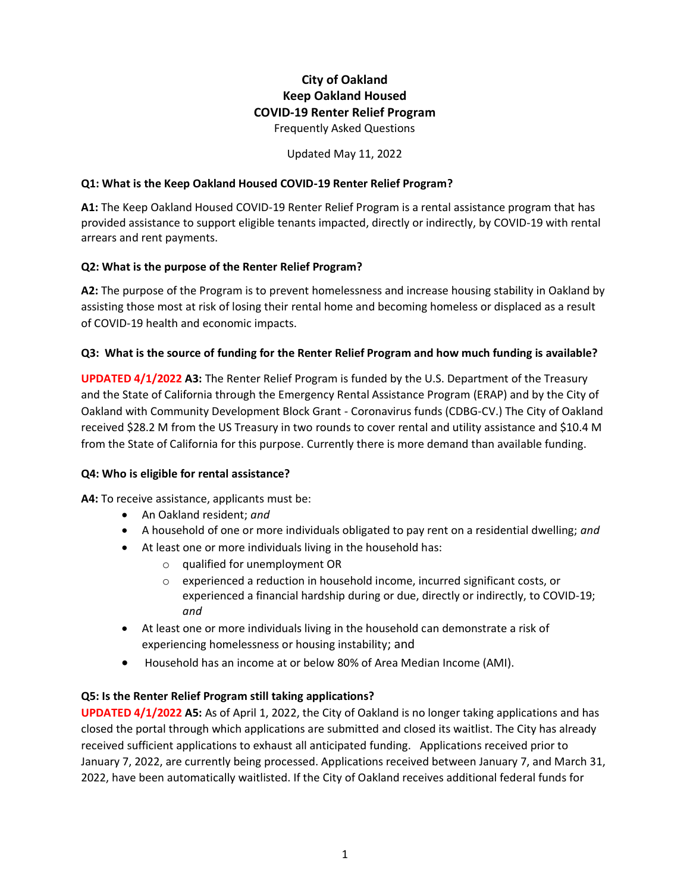# **City of Oakland Keep Oakland Housed COVID-19 Renter Relief Program**

Frequently Asked Questions

Updated May 11, 2022

#### **Q1: What is the Keep Oakland Housed COVID-19 Renter Relief Program?**

**A1:** The Keep Oakland Housed COVID-19 Renter Relief Program is a rental assistance program that has provided assistance to support eligible tenants impacted, directly or indirectly, by COVID-19 with rental arrears and rent payments.

#### **Q2: What is the purpose of the Renter Relief Program?**

**A2:** The purpose of the Program is to prevent homelessness and increase housing stability in Oakland by assisting those most at risk of losing their rental home and becoming homeless or displaced as a result of COVID-19 health and economic impacts.

#### **Q3: What is the source of funding for the Renter Relief Program and how much funding is available?**

**UPDATED 4/1/2022 A3:** The Renter Relief Program is funded by the U.S. Department of the Treasury and the State of California through the Emergency Rental Assistance Program (ERAP) and by the City of Oakland with Community Development Block Grant - Coronavirus funds (CDBG-CV.) The City of Oakland received \$28.2 M from the US Treasury in two rounds to cover rental and utility assistance and \$10.4 M from the State of California for this purpose. Currently there is more demand than available funding.

#### **Q4: Who is eligible for rental assistance?**

**A4:** To receive assistance, applicants must be:

- An Oakland resident; *and*
- A household of one or more individuals obligated to pay rent on a residential dwelling; *and*
- At least one or more individuals living in the household has:
	- o qualified for unemployment OR
	- o experienced a reduction in household income, incurred significant costs, or experienced a financial hardship during or due, directly or indirectly, to COVID-19; *and*
- At least one or more individuals living in the household can demonstrate a risk of experiencing homelessness or housing instability; and
- Household has an income at or below 80% of Area Median Income (AMI).

#### **Q5: Is the Renter Relief Program still taking applications?**

**UPDATED 4/1/2022 A5:** As of April 1, 2022, the City of Oakland is no longer taking applications and has closed the portal through which applications are submitted and closed its waitlist. The City has already received sufficient applications to exhaust all anticipated funding. Applications received prior to January 7, 2022, are currently being processed. Applications received between January 7, and March 31, 2022, have been automatically waitlisted. If the City of Oakland receives additional federal funds for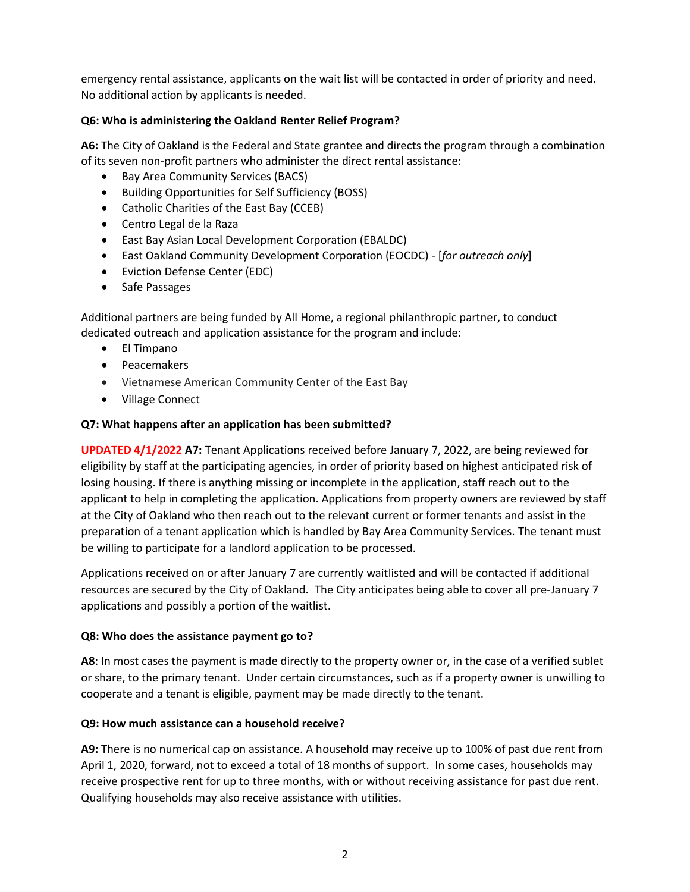emergency rental assistance, applicants on the wait list will be contacted in order of priority and need. No additional action by applicants is needed.

## **Q6: Who is administering the Oakland Renter Relief Program?**

**A6:** The City of Oakland is the Federal and State grantee and directs the program through a combination of its seven non-profit partners who administer the direct rental assistance:

- Bay Area Community Services (BACS)
- Building Opportunities for Self Sufficiency (BOSS)
- Catholic Charities of the East Bay (CCEB)
- Centro Legal de la Raza
- East Bay Asian Local Development Corporation (EBALDC)
- East Oakland Community Development Corporation (EOCDC) [*for outreach only*]
- Eviction Defense Center (EDC)
- Safe Passages

Additional partners are being funded by All Home, a regional philanthropic partner, to conduct dedicated outreach and application assistance for the program and include:

- El Timpano
- Peacemakers
- Vietnamese American Community Center of the East Bay
- Village Connect

## **Q7: What happens after an application has been submitted?**

**UPDATED 4/1/2022 A7:** Tenant Applications received before January 7, 2022, are being reviewed for eligibility by staff at the participating agencies, in order of priority based on highest anticipated risk of losing housing. If there is anything missing or incomplete in the application, staff reach out to the applicant to help in completing the application. Applications from property owners are reviewed by staff at the City of Oakland who then reach out to the relevant current or former tenants and assist in the preparation of a tenant application which is handled by Bay Area Community Services. The tenant must be willing to participate for a landlord application to be processed.

Applications received on or after January 7 are currently waitlisted and will be contacted if additional resources are secured by the City of Oakland. The City anticipates being able to cover all pre-January 7 applications and possibly a portion of the waitlist.

#### **Q8: Who does the assistance payment go to?**

**A8**: In most cases the payment is made directly to the property owner or, in the case of a verified sublet or share, to the primary tenant. Under certain circumstances, such as if a property owner is unwilling to cooperate and a tenant is eligible, payment may be made directly to the tenant.

## **Q9: How much assistance can a household receive?**

**A9:** There is no numerical cap on assistance. A household may receive up to 100% of past due rent from April 1, 2020, forward, not to exceed a total of 18 months of support. In some cases, households may receive prospective rent for up to three months, with or without receiving assistance for past due rent. Qualifying households may also receive assistance with utilities.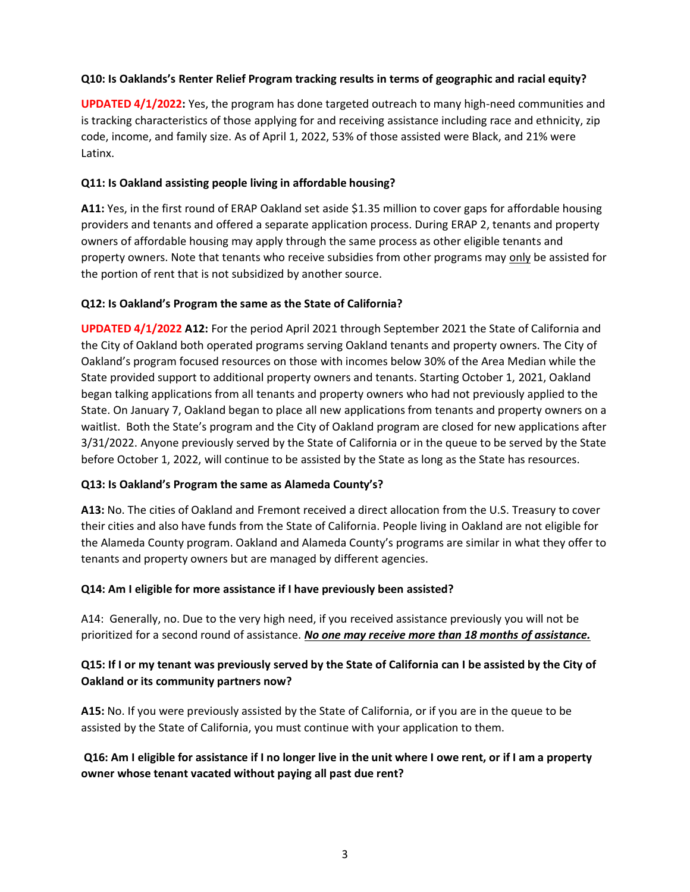#### **Q10: Is Oaklands's Renter Relief Program tracking results in terms of geographic and racial equity?**

**UPDATED 4/1/2022:** Yes, the program has done targeted outreach to many high-need communities and is tracking characteristics of those applying for and receiving assistance including race and ethnicity, zip code, income, and family size. As of April 1, 2022, 53% of those assisted were Black, and 21% were Latinx.

## **Q11: Is Oakland assisting people living in affordable housing?**

**A11:** Yes, in the first round of ERAP Oakland set aside \$1.35 million to cover gaps for affordable housing providers and tenants and offered a separate application process. During ERAP 2, tenants and property owners of affordable housing may apply through the same process as other eligible tenants and property owners. Note that tenants who receive subsidies from other programs may only be assisted for the portion of rent that is not subsidized by another source.

#### **Q12: Is Oakland's Program the same as the State of California?**

**UPDATED 4/1/2022 A12:** For the period April 2021 through September 2021 the State of California and the City of Oakland both operated programs serving Oakland tenants and property owners. The City of Oakland's program focused resources on those with incomes below 30% of the Area Median while the State provided support to additional property owners and tenants. Starting October 1, 2021, Oakland began talking applications from all tenants and property owners who had not previously applied to the State. On January 7, Oakland began to place all new applications from tenants and property owners on a waitlist. Both the State's program and the City of Oakland program are closed for new applications after 3/31/2022. Anyone previously served by the State of California or in the queue to be served by the State before October 1, 2022, will continue to be assisted by the State as long as the State has resources.

## **Q13: Is Oakland's Program the same as Alameda County's?**

**A13:** No. The cities of Oakland and Fremont received a direct allocation from the U.S. Treasury to cover their cities and also have funds from the State of California. People living in Oakland are not eligible for the Alameda County program. Oakland and Alameda County's programs are similar in what they offer to tenants and property owners but are managed by different agencies.

## **Q14: Am I eligible for more assistance if I have previously been assisted?**

A14: Generally, no. Due to the very high need, if you received assistance previously you will not be prioritized for a second round of assistance. *No one may receive more than 18 months of assistance.*

# **Q15: If I or my tenant was previously served by the State of California can I be assisted by the City of Oakland or its community partners now?**

**A15:** No. If you were previously assisted by the State of California, or if you are in the queue to be assisted by the State of California, you must continue with your application to them.

# **Q16: Am I eligible for assistance if I no longer live in the unit where I owe rent, or if I am a property owner whose tenant vacated without paying all past due rent?**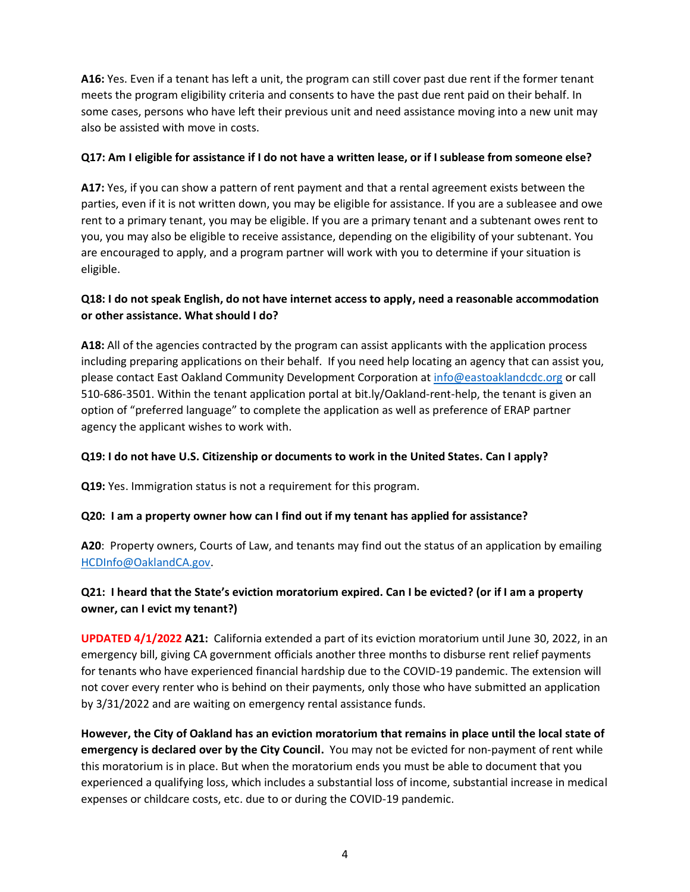**A16:** Yes. Even if a tenant has left a unit, the program can still cover past due rent if the former tenant meets the program eligibility criteria and consents to have the past due rent paid on their behalf. In some cases, persons who have left their previous unit and need assistance moving into a new unit may also be assisted with move in costs.

#### **Q17: Am I eligible for assistance if I do not have a written lease, or if I sublease from someone else?**

**A17:** Yes, if you can show a pattern of rent payment and that a rental agreement exists between the parties, even if it is not written down, you may be eligible for assistance. If you are a subleasee and owe rent to a primary tenant, you may be eligible. If you are a primary tenant and a subtenant owes rent to you, you may also be eligible to receive assistance, depending on the eligibility of your subtenant. You are encouraged to apply, and a program partner will work with you to determine if your situation is eligible.

# **Q18: I do not speak English, do not have internet access to apply, need a reasonable accommodation or other assistance. What should I do?**

**A18:** All of the agencies contracted by the program can assist applicants with the application process including preparing applications on their behalf. If you need help locating an agency that can assist you, please contact East Oakland Community Development Corporation at [info@eastoaklandcdc.org](mailto:info@eastoaklandcdc.org) or call 510-686-3501. Within the tenant application portal at bit.ly/Oakland-rent-help, the tenant is given an option of "preferred language" to complete the application as well as preference of ERAP partner agency the applicant wishes to work with.

## **Q19: I do not have U.S. Citizenship or documents to work in the United States. Can I apply?**

**Q19:** Yes. Immigration status is not a requirement for this program.

#### **Q20: I am a property owner how can I find out if my tenant has applied for assistance?**

**A20**: Property owners, Courts of Law, and tenants may find out the status of an application by emailing [HCDInfo@OaklandCA.gov.](mailto:HCDInfo@OaklandCA.gov)

# **Q21: I heard that the State's eviction moratorium expired. Can I be evicted? (or if I am a property owner, can I evict my tenant?)**

**UPDATED 4/1/2022 A21:** California extended a part of its eviction moratorium until June 30, 2022, in an emergency bill, giving CA government officials another three months to disburse rent relief payments for tenants who have experienced financial hardship due to the COVID-19 pandemic. The extension will not cover every renter who is behind on their payments, only those who have submitted an application by 3/31/2022 and are waiting on emergency rental assistance funds.

**However, the City of Oakland has an eviction moratorium that remains in place until the local state of emergency is declared over by the City Council.** You may not be evicted for non-payment of rent while this moratorium is in place. But when the moratorium ends you must be able to document that you experienced a qualifying loss, which includes a substantial loss of income, substantial increase in medical expenses or childcare costs, etc. due to or during the COVID-19 pandemic.